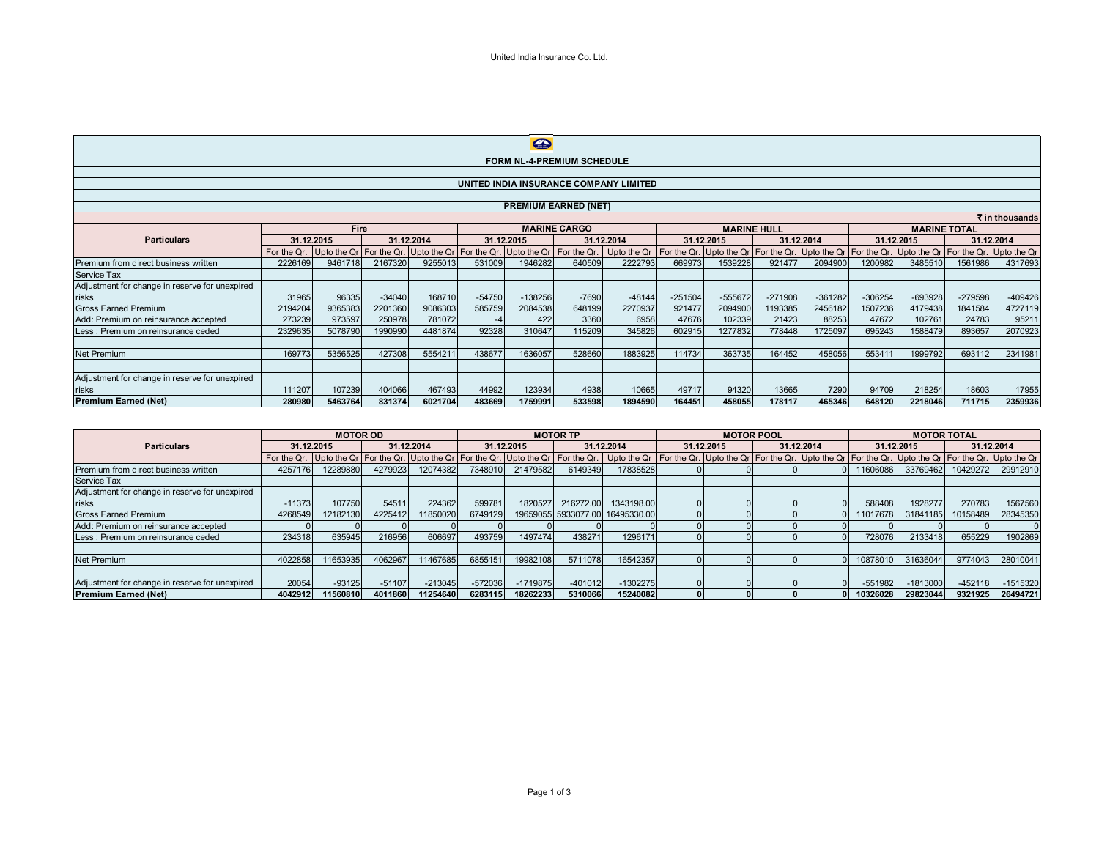| $\bigoplus$                                    |                                        |            |          |            |          |                                                                                   |         |                                                     |           |            |                    |           |           |                                                              |                     |            |
|------------------------------------------------|----------------------------------------|------------|----------|------------|----------|-----------------------------------------------------------------------------------|---------|-----------------------------------------------------|-----------|------------|--------------------|-----------|-----------|--------------------------------------------------------------|---------------------|------------|
|                                                | <b>FORM NL-4-PREMIUM SCHEDULE</b>      |            |          |            |          |                                                                                   |         |                                                     |           |            |                    |           |           |                                                              |                     |            |
|                                                |                                        |            |          |            |          |                                                                                   |         |                                                     |           |            |                    |           |           |                                                              |                     |            |
|                                                | UNITED INDIA INSURANCE COMPANY LIMITED |            |          |            |          |                                                                                   |         |                                                     |           |            |                    |           |           |                                                              |                     |            |
|                                                |                                        |            |          |            |          |                                                                                   |         |                                                     |           |            |                    |           |           |                                                              |                     |            |
| <b>PREMIUM EARNED [NET]</b>                    |                                        |            |          |            |          |                                                                                   |         |                                                     |           |            |                    |           |           |                                                              |                     |            |
| ₹ in thousands<br><b>MARINE CARGO</b><br>Fire  |                                        |            |          |            |          |                                                                                   |         |                                                     |           |            |                    |           |           |                                                              |                     |            |
|                                                |                                        |            |          |            |          |                                                                                   |         |                                                     |           |            | <b>MARINE HULL</b> |           |           |                                                              | <b>MARINE TOTAL</b> |            |
| <b>Particulars</b>                             |                                        | 31.12.2015 |          | 31.12.2014 |          | 31.12.2015                                                                        |         | 31.12.2014                                          |           | 31.12.2015 | 31.12.2014         |           |           | 31.12.2015                                                   |                     | 31.12.2014 |
|                                                | For the Qr.                            |            |          |            |          | Upto the Qr   For the Qr.   Upto the Qr   For the Qr.   Upto the Qr   For the Qr. |         | Upto the Qr   For the Qr. Upto the Qr   For the Qr. |           |            |                    |           |           | Upto the Qr For the Qr. Upto the Qr For the Qr. Upto the Qr. |                     |            |
| Premium from direct business written           | 2226169                                | 9461718    | 2167320  | 9255013    | 531009   | 1946282                                                                           | 640509  | 2222793                                             | 669973    | 1539228    | 921477             | 2094900   | 1200982   | 3485510                                                      | 1561986             | 4317693    |
| <b>Service Tax</b>                             |                                        |            |          |            |          |                                                                                   |         |                                                     |           |            |                    |           |           |                                                              |                     |            |
| Adjustment for change in reserve for unexpired |                                        |            |          |            |          |                                                                                   |         |                                                     |           |            |                    |           |           |                                                              |                     |            |
| risks                                          | 31965                                  | 96335      | $-34040$ | 168710     | $-54750$ | $-138256$                                                                         | $-7690$ | $-48144$                                            | $-251504$ | $-555672$  | $-271908$          | $-361282$ | $-306254$ | $-693928$                                                    | $-279598$           | $-409426$  |
| <b>Gross Earned Premium</b>                    | 2194204                                | 9365383    | 2201360  | 9086303    | 585759   | 2084538                                                                           | 648199  | 2270937                                             | 921477    | 2094900    | 1193385            | 2456182   | 1507236   | 4179438                                                      | 1841584             | 4727119    |
| Add: Premium on reinsurance accepted           | 273239                                 | 973597     | 250978   | 781072     |          | 422                                                                               | 3360    | 6958                                                | 47676     | 102339     | 21423              | 88253     | 47672     | 102761                                                       | 24783               | 95211      |
| Less : Premium on reinsurance ceded            | 2329635                                | 5078790    | 1990990  | 4481874    | 92328    | 310647                                                                            | 115209  | 345826                                              | 602915    | 1277832    | 778448             | 1725097   | 695243    | 1588479                                                      | 893657              | 2070923    |
|                                                |                                        |            |          |            |          |                                                                                   |         |                                                     |           |            |                    |           |           |                                                              |                     |            |
| Net Premium                                    | 169773                                 | 5356525    | 427308   | 5554211    | 438677   | 1636057                                                                           | 528660  | 1883925                                             | 114734    | 363735     | 164452             | 458056    | 553411    | 1999792                                                      | 693112              | 2341981    |
|                                                |                                        |            |          |            |          |                                                                                   |         |                                                     |           |            |                    |           |           |                                                              |                     |            |
| Adjustment for change in reserve for unexpired |                                        |            |          |            |          |                                                                                   |         |                                                     |           |            |                    |           |           |                                                              |                     |            |
| risks                                          | 111207                                 | 107239     | 404066   | 467493     | 44992    | 123934                                                                            | 4938    | 10665                                               | 49717     | 94320      | 13665              | 7290      | 94709     | 218254                                                       | 18603               | 17955      |
| <b>Premium Earned (Net)</b>                    | 280980                                 | 5463764    | 831374   | 6021704    | 483669   | 1759991                                                                           | 533598  | 1894590                                             | 164451    | 458055     | 178117             | 465346    | 648120    | 2218046                                                      | 711715              | 2359936    |

|                                                |            |          | <b>MOTOR TP</b> |           |            |            |            |                                                                                                                                                                                                                                | <b>MOTOR POOL</b> |  | <b>MOTOR TOTAL</b> |  |            |            |            |            |
|------------------------------------------------|------------|----------|-----------------|-----------|------------|------------|------------|--------------------------------------------------------------------------------------------------------------------------------------------------------------------------------------------------------------------------------|-------------------|--|--------------------|--|------------|------------|------------|------------|
| <b>Particulars</b>                             | 31.12.2015 |          | 31.12.2014      |           | 31.12.2015 |            | 31.12.2014 |                                                                                                                                                                                                                                | 31.12.2015        |  | 31.12.2014         |  | 31.12.2015 |            | 31.12.2014 |            |
|                                                |            |          |                 |           |            |            |            | For the Qr.   Upto the Qr   For the Qr.   Upto the Qr   For the Qr.   Upto the Qr   For the Qr.   Upto the Qr   For the Qr.   Upto the Qr   For the Qr.   Upto the Qr   For the Qr.   Upto the Qr.   Upto the Qr.   Upto the Q |                   |  |                    |  |            |            |            |            |
| Premium from direct business written           | 4257176    | 12289880 | 4279923         | 12074382  | 7348910    | 21479582   | 6149349    | 17838528                                                                                                                                                                                                                       |                   |  |                    |  | 11606086   | 33769462   | 10429272   | 29912910   |
| <b>Service Tax</b>                             |            |          |                 |           |            |            |            |                                                                                                                                                                                                                                |                   |  |                    |  |            |            |            |            |
| Adjustment for change in reserve for unexpired |            |          |                 |           |            |            |            |                                                                                                                                                                                                                                |                   |  |                    |  |            |            |            |            |
| risks                                          | $-11373$   | 107750   | 54511           | 224362    | 599781     | 1820527    |            | 216272.00 1343198.00                                                                                                                                                                                                           |                   |  |                    |  | 588408     | 1928277    | 270783     | 1567560    |
| Gross Earned Premium                           | 4268549    | 12182130 | 4225412         | 11850020  | 6749129    |            |            | 19659055 5933077.00 16495330.00                                                                                                                                                                                                |                   |  |                    |  | 11017678   | 31841185   | 10158489   | 28345350   |
| Add: Premium on reinsurance accepted           |            |          |                 |           |            |            |            |                                                                                                                                                                                                                                |                   |  |                    |  |            |            |            |            |
| Less: Premium on reinsurance ceded             | 234318     | 635945   | 216956          | 606697    | 493759     | 1497474    | 438271     | 1296171                                                                                                                                                                                                                        |                   |  |                    |  | 728076     | 2133418    | 655229     | 1902869    |
|                                                |            |          |                 |           |            |            |            |                                                                                                                                                                                                                                |                   |  |                    |  |            |            |            |            |
| <b>Net Premium</b>                             | 4022858    | 1653935  | 4062967         | 11467685  | 6855151    | 19982108   | 5711078    | 16542357                                                                                                                                                                                                                       |                   |  |                    |  | 1087801    | 31636044   | 9774043    | 28010041   |
|                                                |            |          |                 |           |            |            |            |                                                                                                                                                                                                                                |                   |  |                    |  |            |            |            |            |
| Adjustment for change in reserve for unexpired | 20054      | $-93125$ | $-51107$        | $-213045$ | $-572036$  | $-1719875$ | $-401012$  | $-1302275$                                                                                                                                                                                                                     |                   |  |                    |  | -551982    | $-1813000$ | $-452118$  | $-1515320$ |
| <b>Premium Earned (Net)</b>                    | 4042912    | 1560810  | 4011860         | 11254640  | 628311     | 18262233   | 5310066    | 15240082                                                                                                                                                                                                                       |                   |  |                    |  | 10326028   | 29823044   | 9321925    | 26494721   |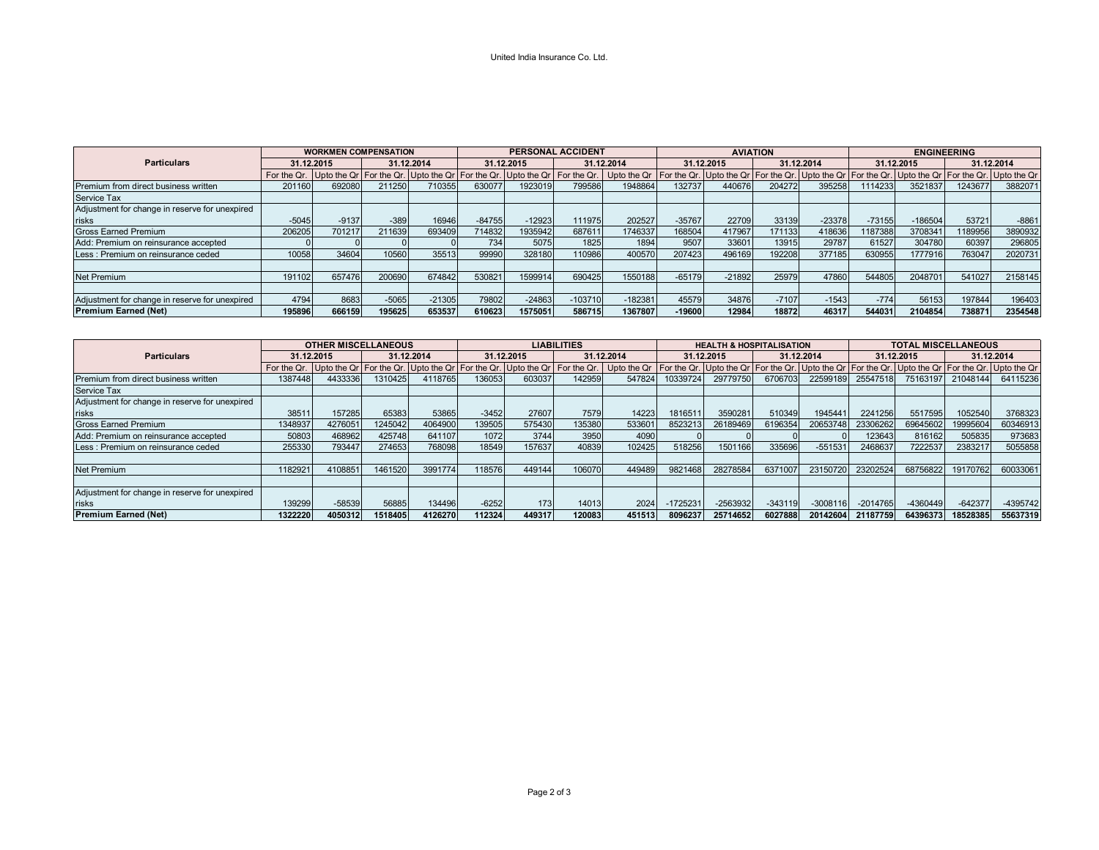## United India Insurance Co. Ltd.

|                                                |            | <b>WORKMEN COMPENSATION</b> |            |                                                                 | <b>PERSONAL ACCIDENT</b> |                         |            |                           |            | <b>AVIATION</b>         |            |                                                                     | <b>ENGINEERING</b> |           |            |         |
|------------------------------------------------|------------|-----------------------------|------------|-----------------------------------------------------------------|--------------------------|-------------------------|------------|---------------------------|------------|-------------------------|------------|---------------------------------------------------------------------|--------------------|-----------|------------|---------|
| <b>Particulars</b>                             | 31.12.2015 |                             | 31.12.2014 |                                                                 | 31.12.2015               |                         | 31.12.2014 |                           | 31.12.2015 |                         | 31.12.2014 |                                                                     | 31.12.2015         |           | 31.12.2014 |         |
|                                                |            |                             |            | For the Qr. Upto the Qr   For the Qr. Upto the Qr   For the Qr. |                          | Upto the Qr For the Qr. |            | Upto the Qr   For the Qr. |            | Upto the Qr For the Qr. |            | Upto the Qr   For the Qr.   Upto the Qr   For the Qr.   Upto the Qr |                    |           |            |         |
| Premium from direct business written           | 201160     | 692080                      | 211250     | 710355                                                          | 630077                   | 1923019                 | 799586     | 1948864                   | 132737     | 440676                  | 204272     | 395258                                                              | 1114233            | 3521837   | 1243677    | 3882071 |
| Service Tax                                    |            |                             |            |                                                                 |                          |                         |            |                           |            |                         |            |                                                                     |                    |           |            |         |
| Adjustment for change in reserve for unexpired |            |                             |            |                                                                 |                          |                         |            |                           |            |                         |            |                                                                     |                    |           |            |         |
| risks                                          | $-5045$    | $-9137$                     | $-389$     | 16946                                                           | $-84755$                 | $-12923$                | 111975     | 202527                    | $-35767$   | 22709                   | 33139      | $-23378$                                                            | $-73155$           | $-186504$ | 53721      | $-8861$ |
| <b>Gross Earned Premium</b>                    | 206205     | 701217                      | 211639     | 693409                                                          | 714832                   | 1935942                 | 687611     | 1746337                   | 168504     | 417967                  | 171133     | 418636                                                              | 1187388            | 3708341   | 189956     | 3890932 |
| Add: Premium on reinsurance accepted           |            |                             |            |                                                                 | 734                      | 5075                    | 1825       | 1894                      | 9507       | 33601                   | 13915      | 29787                                                               | 61527              | 304780    | 60397      | 296805  |
| Less: Premium on reinsurance ceded             | 10058      | 34604                       | 10560      | 35513                                                           | 99990                    | 328180                  | 110986     | 400570                    | 207423     | 496169                  | 192208     | 377185                                                              | 630955             | 1777916   | 763047     | 2020731 |
|                                                |            |                             |            |                                                                 |                          |                         |            |                           |            |                         |            |                                                                     |                    |           |            |         |
| <b>Net Premium</b>                             | 191102     | 657476                      | 200690     | 674842                                                          | 530821                   | 1599914                 | 690425     | 1550188                   | $-65179$   | $-21892$                | 25979      | 47860                                                               | 544805             | 2048701   | 541027     | 2158145 |
|                                                |            |                             |            |                                                                 |                          |                         |            |                           |            |                         |            |                                                                     |                    |           |            |         |
| Adjustment for change in reserve for unexpired | 4794       | 8683                        | $-5065$    | $-21305$                                                        | 79802                    | $-24863$                | $-103710$  | $-182381$                 | 45579      | 34876                   | $-7107$    | $-1543$                                                             | $-774$             | 56153     | 197844     | 196403  |
| <b>Premium Earned (Net)</b>                    | 195896     | 666159                      | 195625     | 653537                                                          | 610623                   | 1575051                 | 586715     | 1367807                   | $-19600$   | 12984                   | 18872      | 46317                                                               | 544031             | 2104854   | 738871     | 2354548 |

|                                                | <b>OTHER MISCELLANEOUS</b> |            |         | <b>LIABILITIES</b> |         |            |        |                                                                                                                                                                                                                               | <b>HEALTH &amp; HOSPITALISATION</b> |            |           | <b>TOTAL MISCELLANEOUS</b> |                   |            |           |            |
|------------------------------------------------|----------------------------|------------|---------|--------------------|---------|------------|--------|-------------------------------------------------------------------------------------------------------------------------------------------------------------------------------------------------------------------------------|-------------------------------------|------------|-----------|----------------------------|-------------------|------------|-----------|------------|
| <b>Particulars</b>                             |                            | 31.12.2015 |         | 31.12.2014         |         | 31.12.2015 |        | 31.12.2014                                                                                                                                                                                                                    |                                     | 31.12.2015 |           | 31.12.2014                 |                   | 31.12.2015 |           | 31.12.2014 |
|                                                |                            |            |         |                    |         |            |        | For the Qr.  Upto the Qr  For the Qr.  Upto the Qr  For the Qr.  Upto the Qr   For the Qr.   Upto the Qr  For the Qr.  Upto the Qr.  Upto the Qr.  Upto the Qr.  Upto the Qr.  Upto the Qr.  Upto the Qr.  Upto the Qr.  Upto |                                     |            |           |                            |                   |            |           |            |
| Premium from direct business written           | 1387448                    | 4433336    | 1310425 | 4118765            | 136053  | 603037     | 142959 | 547824                                                                                                                                                                                                                        | 10339724                            | 29779750   | 6706703   |                            | 22599189 25547518 | 75163197   | 21048144  | 64115236   |
| <b>Service Tax</b>                             |                            |            |         |                    |         |            |        |                                                                                                                                                                                                                               |                                     |            |           |                            |                   |            |           |            |
| Adjustment for change in reserve for unexpired |                            |            |         |                    |         |            |        |                                                                                                                                                                                                                               |                                     |            |           |                            |                   |            |           |            |
| risks                                          | 38511                      | 157285     | 65383   | 53865              | $-3452$ | 27607      | 7579   | 14223                                                                                                                                                                                                                         | 1816511                             | 3590281    | 510349    | 1945441                    | 2241256           | 5517595    | 052540    | 3768323    |
| <b>Gross Earned Premium</b>                    | 1348937                    | 4276051    | 1245042 | 4064900            | 139505  | 575430     | 135380 | 533601                                                                                                                                                                                                                        | 8523213                             | 26189469   | 6196354   | 20653748                   | 23306262          | 69645602   | 19995604  | 60346913   |
| Add: Premium on reinsurance accepted           | 50803                      | 468962     | 425748  | 641107             | 1072    | 3744       | 3950   | 4090                                                                                                                                                                                                                          |                                     |            |           |                            | 123643            | 816162     | 505835    | 973683     |
| Less : Premium on reinsurance ceded            | 255330                     | 793447     | 274653  | 768098             | 18549   | 157637     | 40839  | 102425                                                                                                                                                                                                                        | 518256                              | 1501166    | 335696    | $-551531$                  | 2468637           | 7222537    | 2383217   | 5055858    |
|                                                |                            |            |         |                    |         |            |        |                                                                                                                                                                                                                               |                                     |            |           |                            |                   |            |           |            |
| <b>Net Premium</b>                             | 1182921                    | 4108851    | 1461520 | 3991774            | 118576  | 449144     | 106070 | 449489                                                                                                                                                                                                                        | 9821468                             | 28278584   | 6371007   | 23150720                   | 23202524          | 68756822   | 19170762  | 60033061   |
|                                                |                            |            |         |                    |         |            |        |                                                                                                                                                                                                                               |                                     |            |           |                            |                   |            |           |            |
| Adjustment for change in reserve for unexpired |                            |            |         |                    |         |            |        |                                                                                                                                                                                                                               |                                     |            |           |                            |                   |            |           |            |
| risks                                          | 139299                     | $-58539$   | 56885   | 134496             | $-6252$ | 173        | 14013  | 2024                                                                                                                                                                                                                          | $-1725231$                          | $-2563932$ | $-343119$ | $-3008116$                 | $-2014765$        | $-4360449$ | $-642377$ | -4395742   |
| <b>Premium Earned (Net)</b>                    | 1322220                    | 4050312    | 1518405 | 4126270            | 112324  | 449317     | 120083 | 451513                                                                                                                                                                                                                        | 8096237                             | 25714652   | 6027888   | 20142604                   | 21187759          | 64396373   | 18528385  | 55637319   |